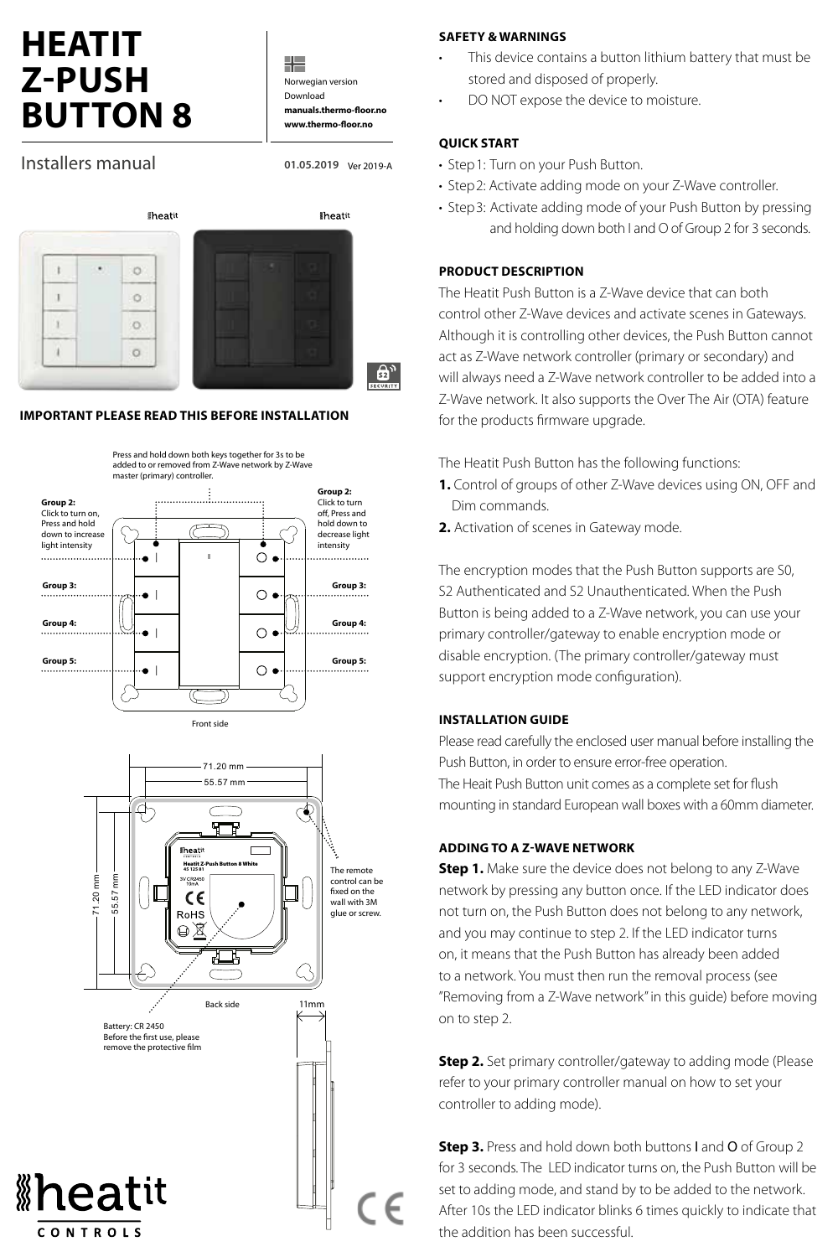# **HEATIT Z-PUSH BUTTON 8**

╬ Norwegian version Download **manuals.thermo-floor.no www.thermo-floor.no**

**01.05.2019** Ver 2019-A

## Installers manual

*iheatit* **iheatit** i t  $\circ$ Ú.  $\circ$  $\mathbf{r}$  $\circ$  $\mathbf{I}$  $\circ$ து,

## **IMPORTANT PLEASE READ THIS BEFORE INSTALLATION**





#### **SAFETY & WARNINGS**

- This device contains a button lithium battery that must be stored and disposed of properly.
- DO NOT expose the device to moisture.

## **QUICK START**

- Step1: Turn on your Push Button.
- Step2: Activate adding mode on your Z-Wave controller.
- Step3: Activate adding mode of your Push Button by pressing and holding down both I and O of Group 2 for 3 seconds.

## **PRODUCT DESCRIPTION**

The Heatit Push Button is a Z-Wave device that can both control other Z-Wave devices and activate scenes in Gateways. Although it is controlling other devices, the Push Button cannot act as Z-Wave network controller (primary or secondary) and will always need a Z-Wave network controller to be added into a Z-Wave network. It also supports the Over The Air (OTA) feature for the products firmware upgrade.

The Heatit Push Button has the following functions:

- **1.** Control of groups of other Z-Wave devices using ON, OFF and Dim commands.
- **2.** Activation of scenes in Gateway mode.

The encryption modes that the Push Button supports are S0, S2 Authenticated and S2 Unauthenticated. When the Push Button is being added to a Z-Wave network, you can use your primary controller/gateway to enable encryption mode or disable encryption. (The primary controller/gateway must support encryption mode configuration).

#### **INSTALLATION GUIDE**

Please read carefully the enclosed user manual before installing the Push Button, in order to ensure error-free operation. The Heait Push Button unit comes as a complete set for flush mounting in standard European wall boxes with a 60mm diameter.

## **ADDING TO A Z-WAVE NETWORK**

**Step 1.** Make sure the device does not belong to any Z-Wave network by pressing any button once. If the LED indicator does not turn on, the Push Button does not belong to any network, and you may continue to step 2. If the LED indicator turns on, it means that the Push Button has already been added to a network. You must then run the removal process (see "Removing from a Z-Wave network" in this guide) before moving on to step 2.

**Step 2.** Set primary controller/gateway to adding mode (Please refer to your primary controller manual on how to set your controller to adding mode).

**Step 3.** Press and hold down both buttons I and O of Group 2 for 3 seconds. The LED indicator turns on, the Push Button will be set to adding mode, and stand by to be added to the network. After 10s the LED indicator blinks 6 times quickly to indicate that the addition has been successful.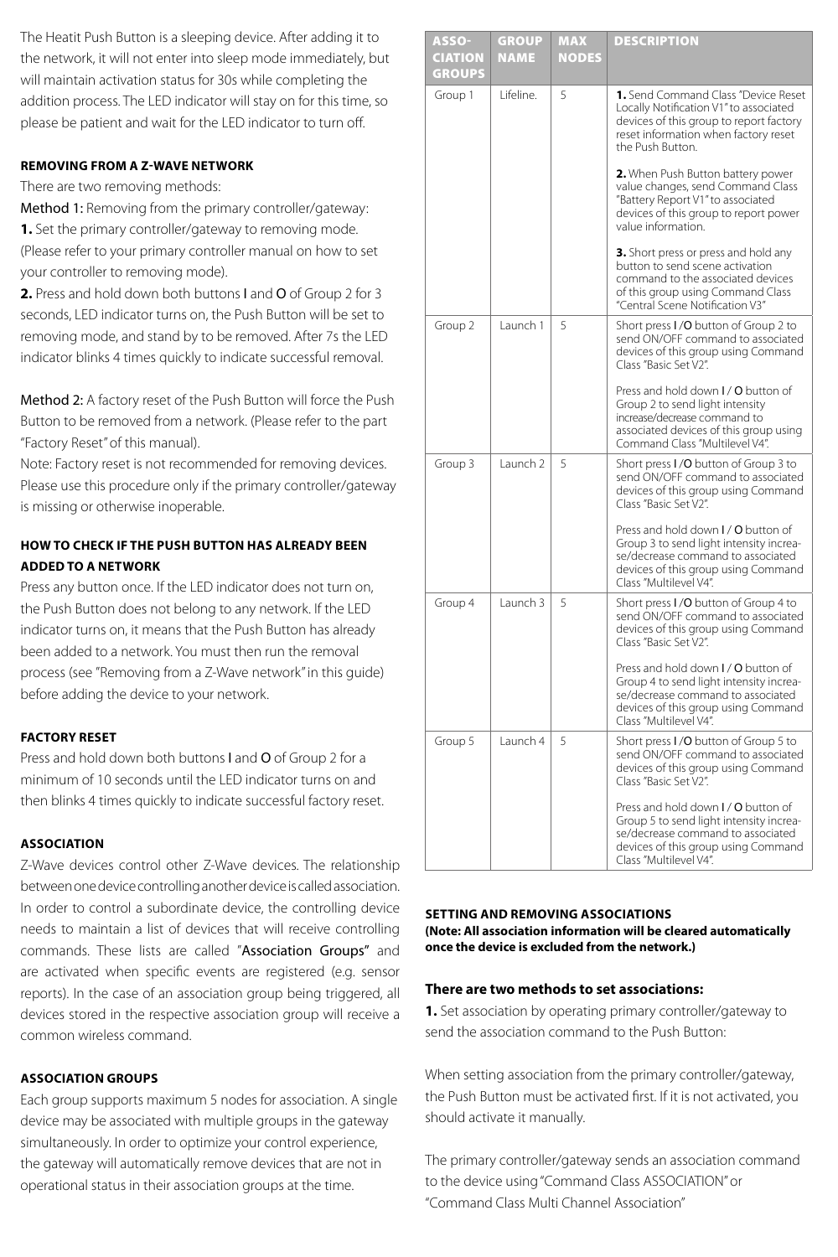The Heatit Push Button is a sleeping device. After adding it to the network, it will not enter into sleep mode immediately, but will maintain activation status for 30s while completing the addition process. The LED indicator will stay on for this time, so please be patient and wait for the LED indicator to turn off.

## **REMOVING FROM A Z-WAVE NETWORK**

There are two removing methods:

Method 1: Removing from the primary controller/gateway: **1.** Set the primary controller/gateway to removing mode. (Please refer to your primary controller manual on how to set your controller to removing mode).

**2.** Press and hold down both buttons I and O of Group 2 for 3 seconds, LED indicator turns on, the Push Button will be set to removing mode, and stand by to be removed. After 7s the LED indicator blinks 4 times quickly to indicate successful removal.

Method 2: A factory reset of the Push Button will force the Push Button to be removed from a network. (Please refer to the part "Factory Reset" of this manual).

Note: Factory reset is not recommended for removing devices. Please use this procedure only if the primary controller/gateway is missing or otherwise inoperable.

## **HOW TO CHECK IF THE PUSH BUTTON HAS ALREADY BEEN ADDED TO A NETWORK**

Press any button once. If the LED indicator does not turn on, the Push Button does not belong to any network. If the LED indicator turns on, it means that the Push Button has already been added to a network. You must then run the removal process (see "Removing from a Z-Wave network" in this guide) before adding the device to your network.

## **FACTORY RESET**

Press and hold down both buttons I and O of Group 2 for a minimum of 10 seconds until the LED indicator turns on and then blinks 4 times quickly to indicate successful factory reset.

#### **ASSOCIATION**

Z-Wave devices control other Z-Wave devices. The relationship between one device controlling another device is called association. In order to control a subordinate device, the controlling device needs to maintain a list of devices that will receive controlling commands. These lists are called "Association Groups" and are activated when specific events are registered (e.g. sensor reports). In the case of an association group being triggered, all devices stored in the respective association group will receive a common wireless command.

## **ASSOCIATION GROUPS**

Each group supports maximum 5 nodes for association. A single device may be associated with multiple groups in the gateway simultaneously. In order to optimize your control experience, the gateway will automatically remove devices that are not in operational status in their association groups at the time.

|  | <b>ASSO-</b><br><b>CIATION</b><br><b>GROUPS</b> | GROUP<br><b>NAME</b> | <b>MAX</b><br><b>NODES</b> | <b>DESCRIPTION</b>                                                                                                                                                                   |
|--|-------------------------------------------------|----------------------|----------------------------|--------------------------------------------------------------------------------------------------------------------------------------------------------------------------------------|
|  | Group 1                                         | l ifeline.           | 5                          | 1. Send Command Class "Device Reset<br>Locally Notification V1" to associated<br>devices of this group to report factory<br>reset information when factory reset<br>the Push Button. |
|  |                                                 |                      |                            | 2. When Push Button battery power<br>value changes, send Command Class<br>"Battery Report V1" to associated<br>devices of this group to report power<br>value information.           |
|  |                                                 |                      |                            | 3. Short press or press and hold any<br>button to send scene activation<br>command to the associated devices<br>of this group using Command Class<br>"Central Scene Notification V3" |
|  | Group 2                                         | Launch 1             | 5                          | Short press I/O button of Group 2 to<br>send ON/OFF command to associated<br>devices of this group using Command<br>Class "Basic Set V2".                                            |
|  |                                                 |                      |                            | Press and hold down I / O button of<br>Group 2 to send light intensity<br>increase/decrease command to<br>associated devices of this group using<br>Command Class "Multilevel V4".   |
|  | Group 3                                         | Launch 2             | 5                          | Short press I/O button of Group 3 to<br>send ON/OFF command to associated<br>devices of this group using Command<br>Class "Basic Set V2".                                            |
|  |                                                 |                      |                            | Press and hold down I / O button of<br>Group 3 to send light intensity increa-<br>se/decrease command to associated<br>devices of this group using Command<br>Class "Multilevel V4". |
|  | Group 4                                         | Launch 3             | 5                          | Short press I/O button of Group 4 to<br>send ON/OFF command to associated<br>devices of this group using Command<br>Class "Basic Set V2".                                            |
|  |                                                 |                      |                            | Press and hold down I / O button of<br>Group 4 to send light intensity increa-<br>se/decrease command to associated<br>devices of this group using Command<br>Class "Multilevel V4". |
|  | Group 5                                         | Launch 4             | 5                          | Short press I/O button of Group 5 to<br>send ON/OFF command to associated<br>devices of this group using Command<br>Class "Basic Set V2".                                            |
|  |                                                 |                      |                            | Press and hold down I / O button of<br>Group 5 to send light intensity increa-<br>se/decrease command to associated<br>devices of this group using Command<br>Class "Multilevel V4". |

#### **SETTING AND REMOVING ASSOCIATIONS (Note: All association information will be cleared automatically once the device is excluded from the network.)**

### **There are two methods to set associations:**

**1.** Set association by operating primary controller/gateway to send the association command to the Push Button:

When setting association from the primary controller/gateway, the Push Button must be activated first. If it is not activated, you should activate it manually.

The primary controller/gateway sends an association command to the device using "Command Class ASSOCIATION" or "Command Class Multi Channel Association"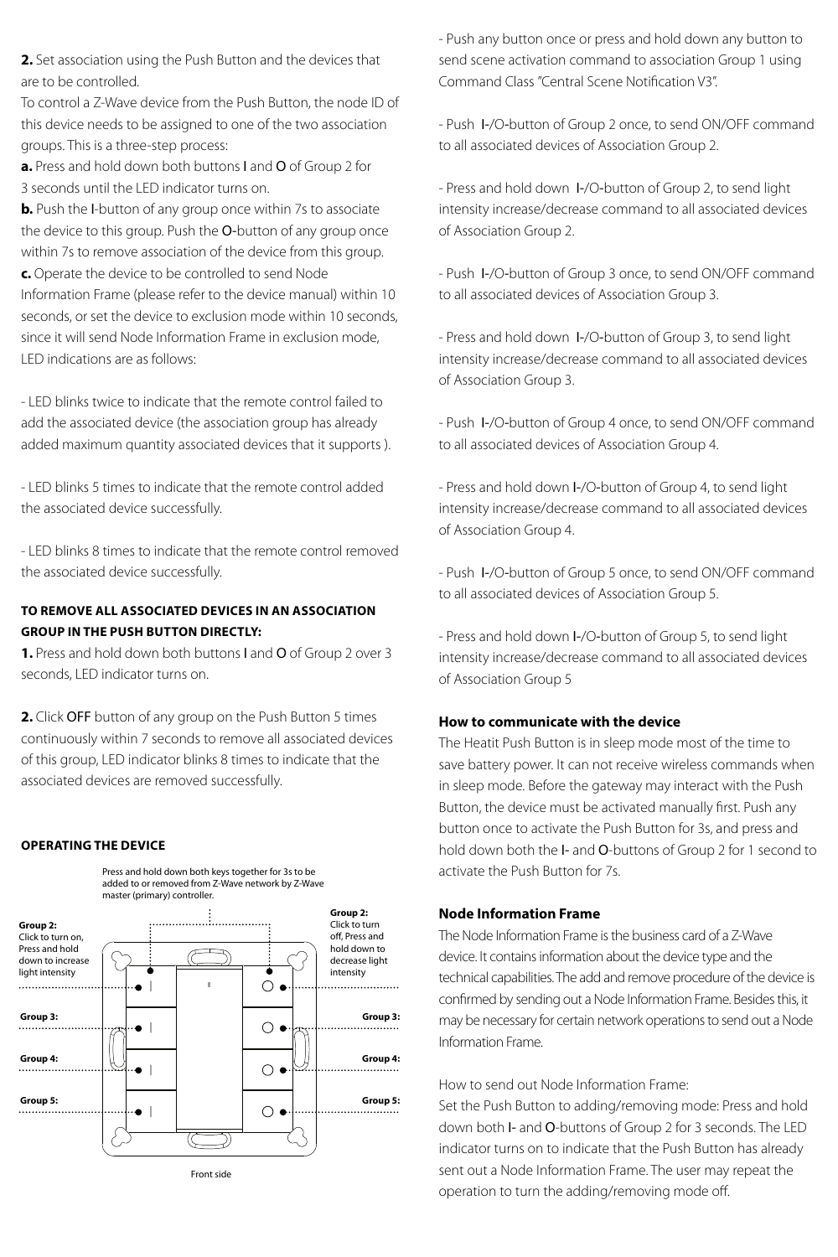**2.** Set association using the Push Button and the devices that are to be controlled.

To control a Z-Wave device from the Push Button, the node ID of this device needs to be assigned to one of the two association groups. This is a three-step process:

**a.** Press and hold down both buttons I and O of Group 2 for 3 seconds until the LED indicator turns on.

**b.** Push the I-button of any group once within 7s to associate the device to this group. Push the O-button of any group once within 7s to remove association of the device from this group.

**c.** Operate the device to be controlled to send Node Information Frame (please refer to the device manual) within 10 seconds, or set the device to exclusion mode within 10 seconds, since it will send Node Information Frame in exclusion mode, LED indications are as follows:

- LED blinks twice to indicate that the remote control failed to add the associated device (the association group has already added maximum quantity associated devices that it supports ).

- LED blinks 5 times to indicate that the remote control added the associated device successfully.

- LED blinks 8 times to indicate that the remote control removed the associated device successfully.

## **TO REMOVE ALL ASSOCIATED DEVICES IN AN ASSOCIATION GROUP IN THE PUSH BUTTON DIRECTLY:**

**1.** Press and hold down both buttons I and O of Group 2 over 3 seconds, LED indicator turns on.

**2.** Click OFF button of any group on the Push Button 5 times continuously within 7 seconds to remove all associated devices of this group, LED indicator blinks 8 times to indicate that the associated devices are removed successfully.

#### **OPERATING THE DEVICE**



- Push any button once or press and hold down any button to send scene activation command to association Group 1 using Command Class "Central Scene Notification V3".

- Push I-/O-button of Group 2 once, to send ON/OFF command to all associated devices of Association Group 2.

- Press and hold down I-/O-button of Group 2, to send light intensity increase/decrease command to all associated devices of Association Group 2.

- Push I-/O-button of Group 3 once, to send ON/OFF command to all associated devices of Association Group 3.

- Press and hold down I-/O-button of Group 3, to send light intensity increase/decrease command to all associated devices of Association Group 3.

- Push I-/O-button of Group 4 once, to send ON/OFF command to all associated devices of Association Group 4.

- Press and hold down I-/O-button of Group 4, to send light intensity increase/decrease command to all associated devices of Association Group 4.

- Push I-/O-button of Group 5 once, to send ON/OFF command to all associated devices of Association Group 5.

- Press and hold down I-/O-button of Group 5, to send light intensity increase/decrease command to all associated devices of Association Group 5

## **How to communicate with the device**

The Heatit Push Button is in sleep mode most of the time to save battery power. It can not receive wireless commands when in sleep mode. Before the gateway may interact with the Push Button, the device must be activated manually first. Push any button once to activate the Push Button for 3s, and press and hold down both the I- and O-buttons of Group 2 for 1 second to activate the Push Button for 7s.

## **Node Information Frame**

The Node Information Frame is the business card of a Z-Wave device. It contains information about the device type and the technical capabilities. The add and remove procedure of the device is confirmed by sending out a Node Information Frame. Besides this, it may be necessary for certain network operations to send out a Node Information Frame.

How to send out Node Information Frame:

Set the Push Button to adding/removing mode: Press and hold down both I- and O-buttons of Group 2 for 3 seconds. The LED indicator turns on to indicate that the Push Button has already sent out a Node Information Frame. The user may repeat the operation to turn the adding/removing mode off.